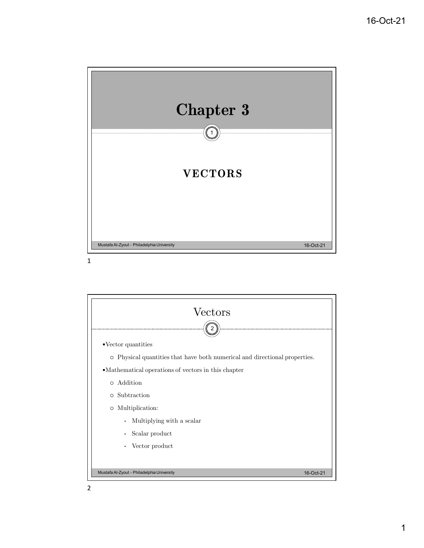

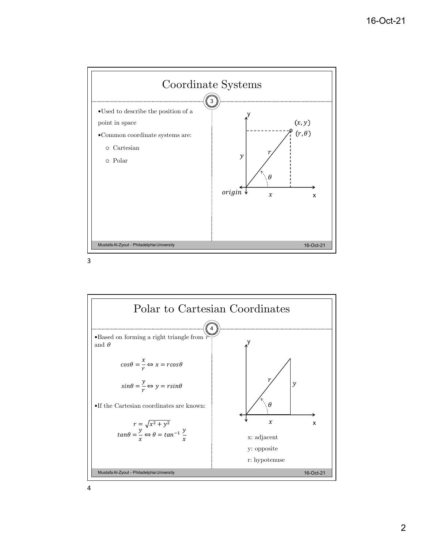



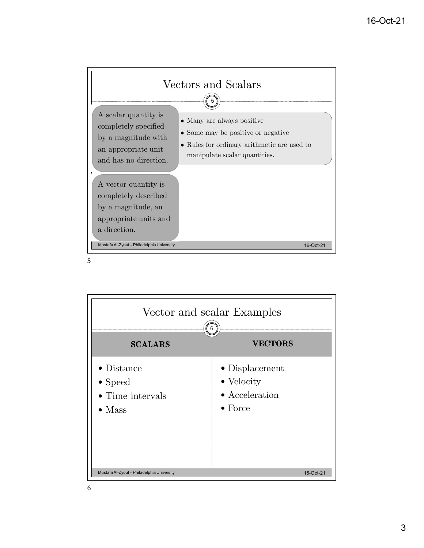

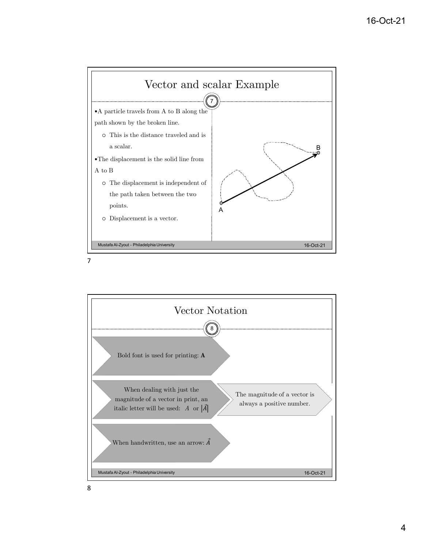

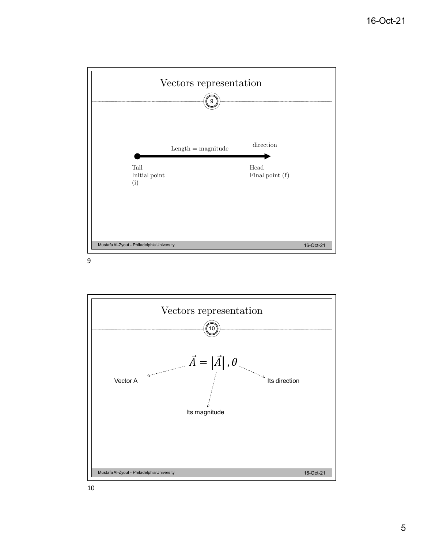

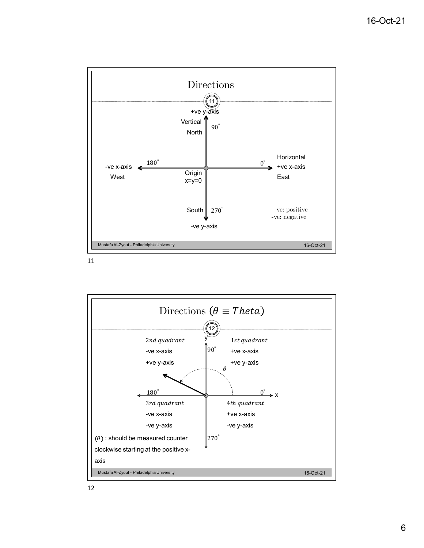

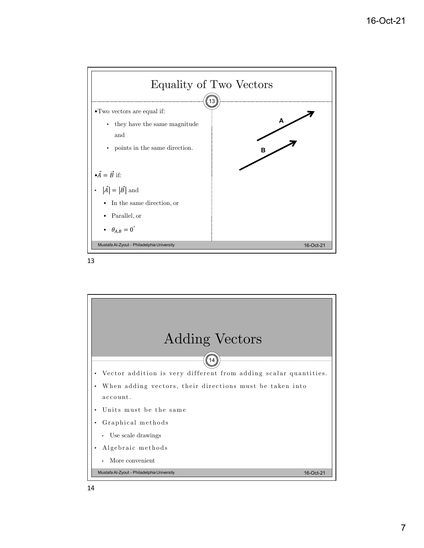



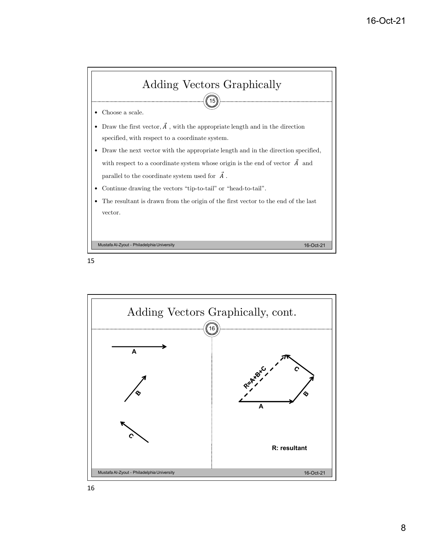

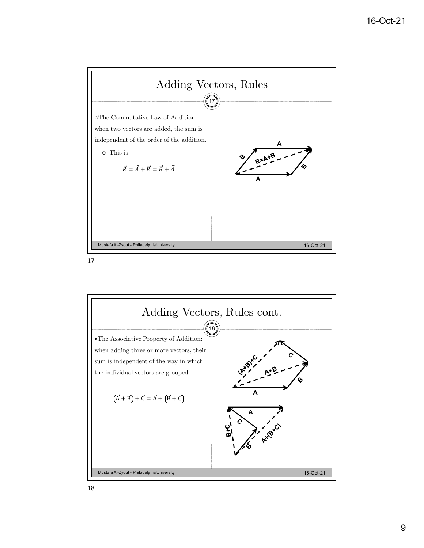

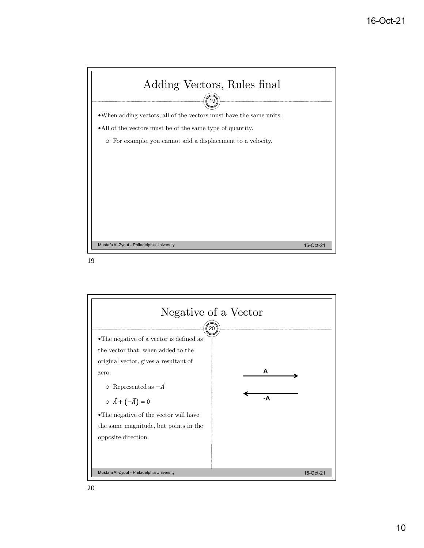

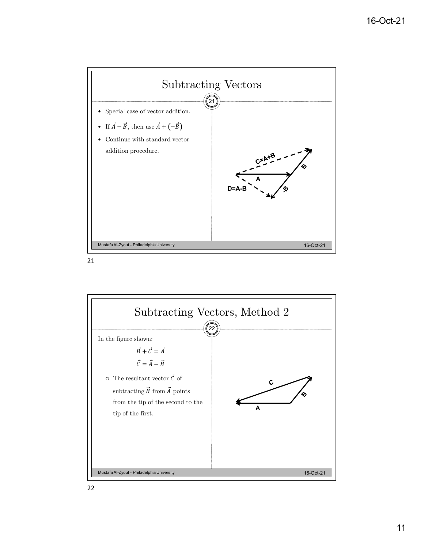



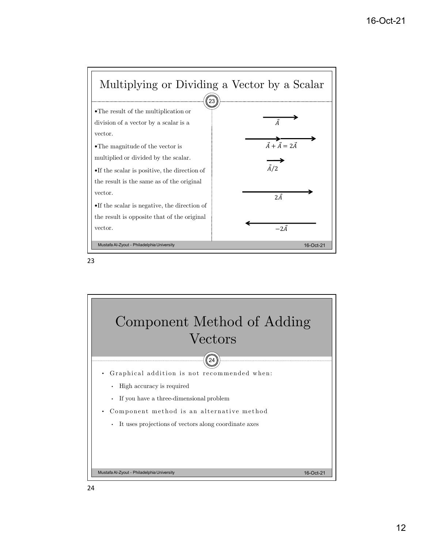



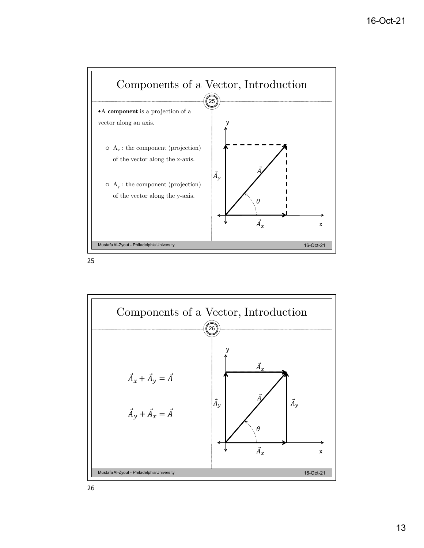

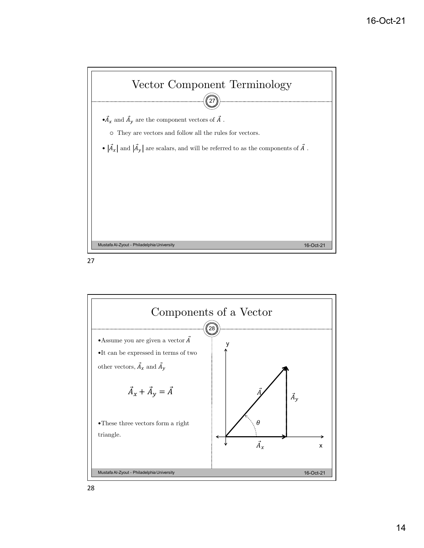



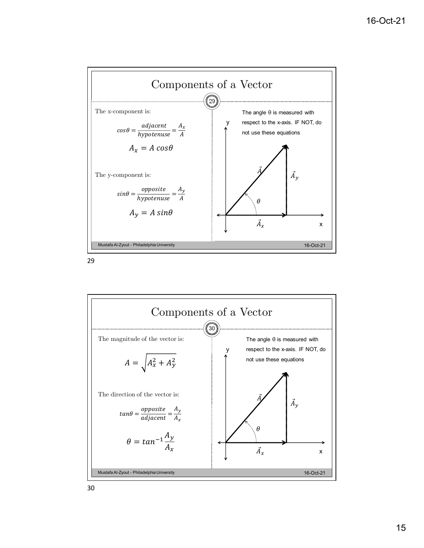

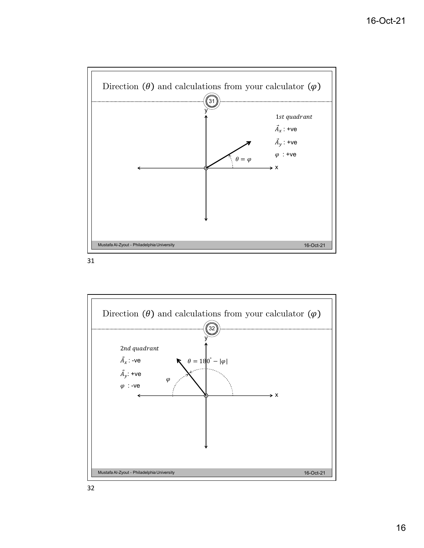

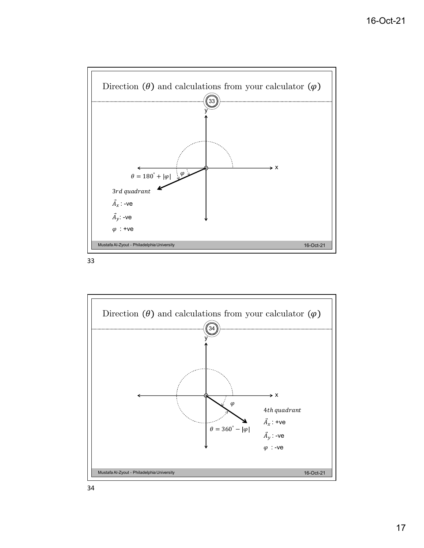

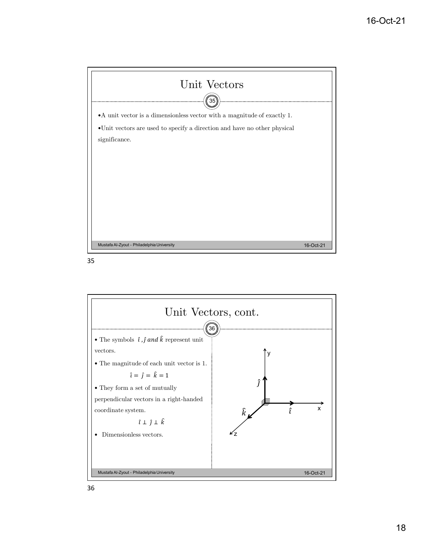

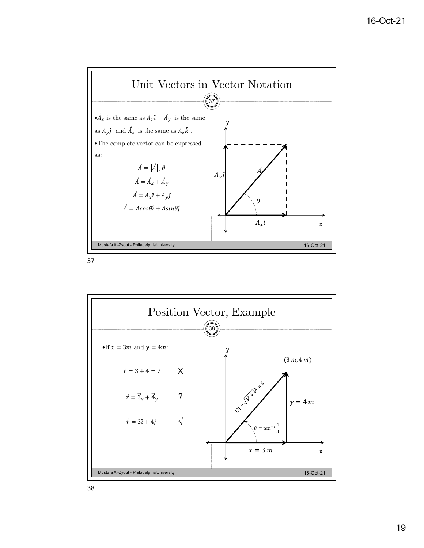

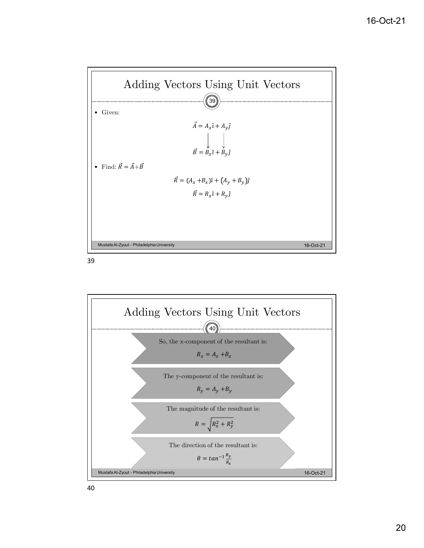

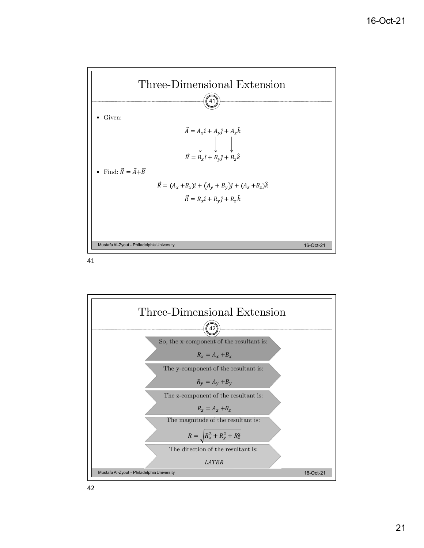

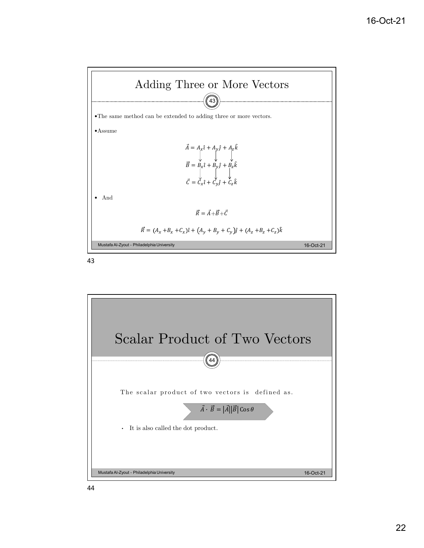

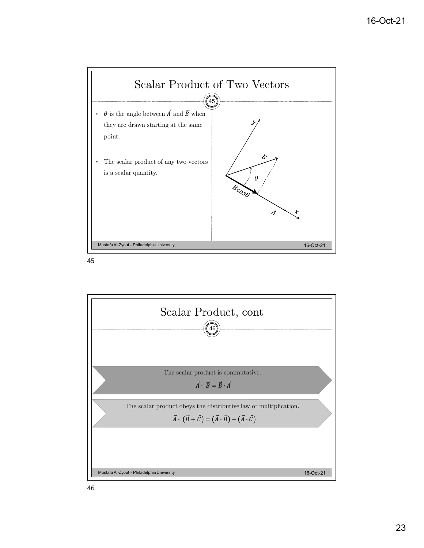

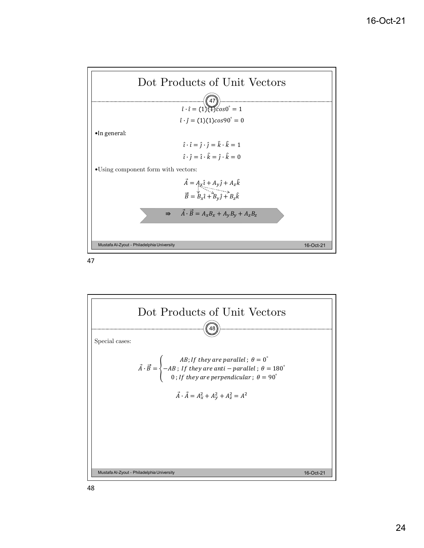

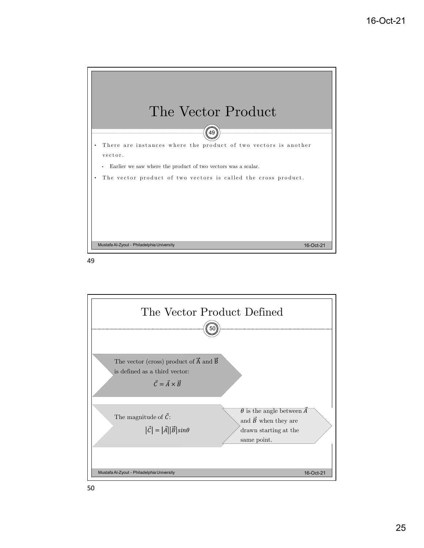

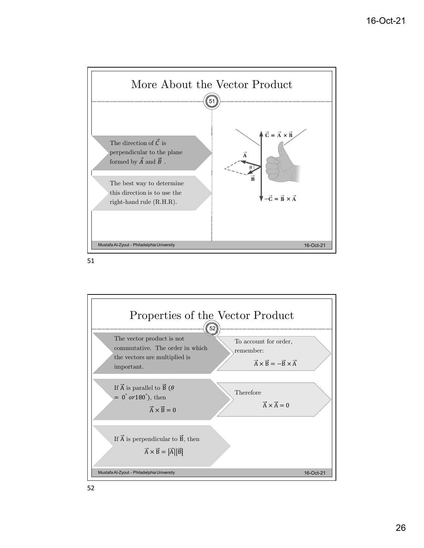



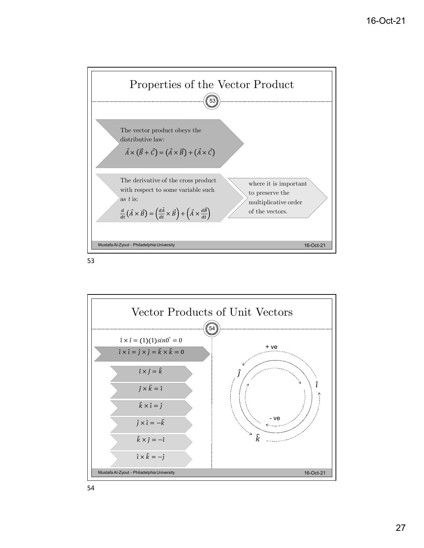



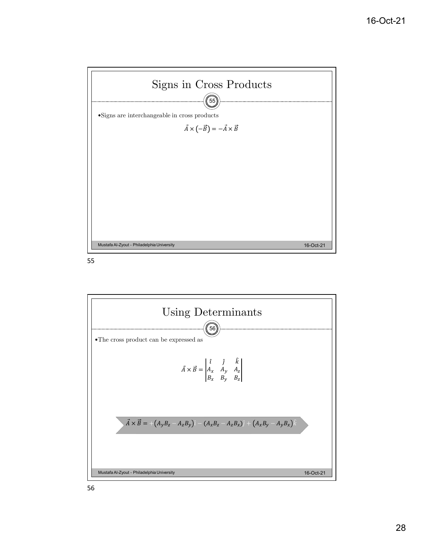

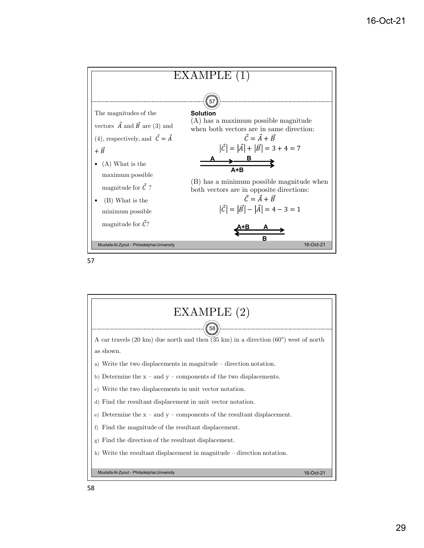



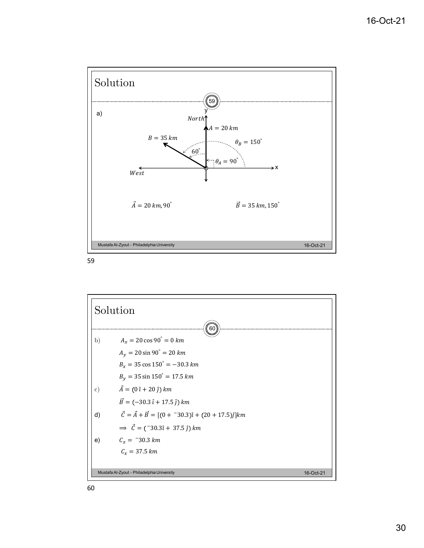



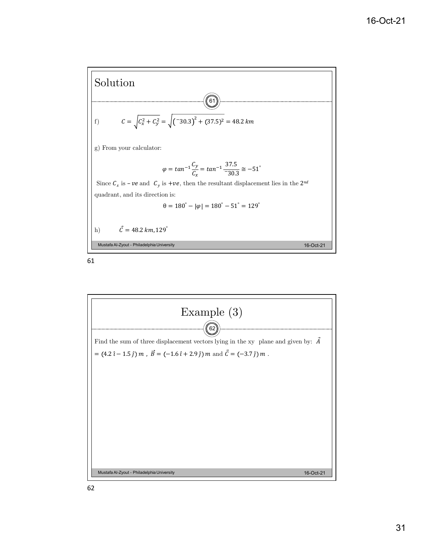



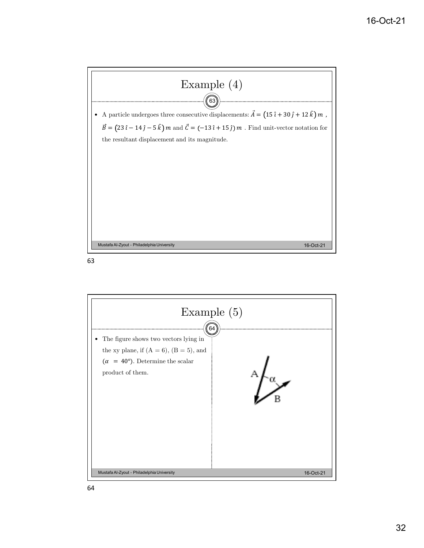

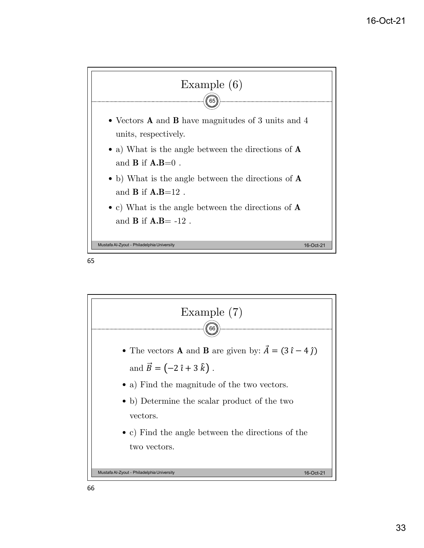



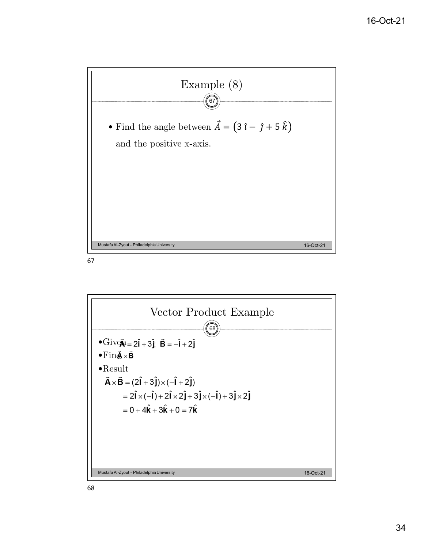